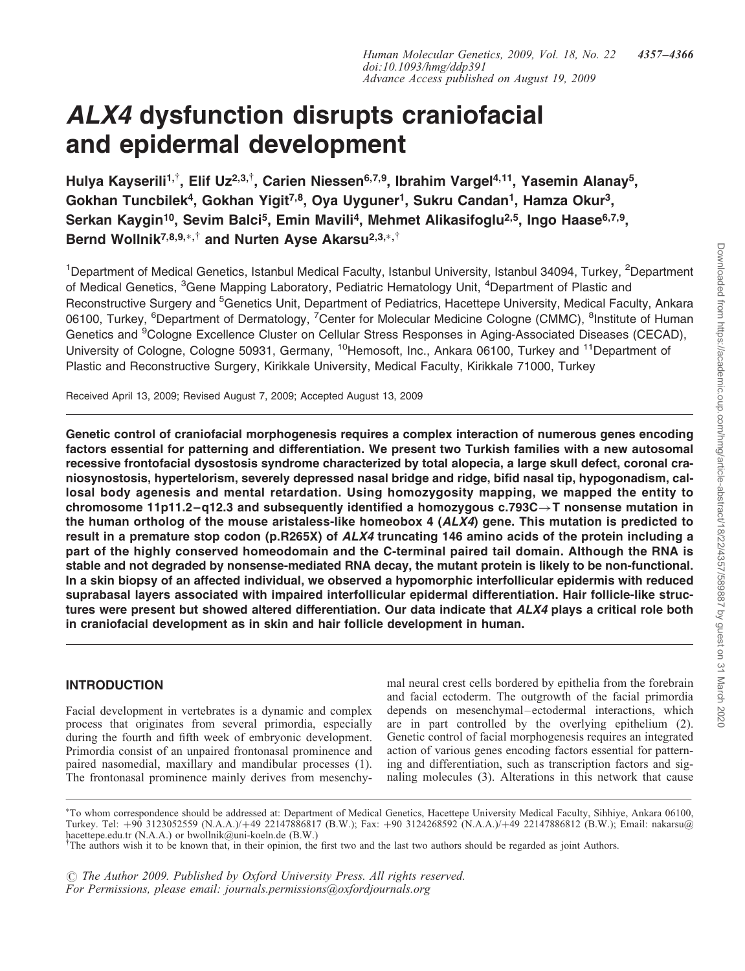# ALX4 dysfunction disrupts craniofacial and epidermal development

Hulya Kayserili<sup>1,†</sup>, Elif Uz<sup>2,3,†</sup>, Carien Niessen<sup>6,7,9</sup>, Ibrahim Vargel<sup>4,11</sup>, Yasemin Alanay<sup>5</sup>, Gokhan Tuncbilek<sup>4</sup>, Gokhan Yigit<sup>7,8</sup>, Oya Uyguner<sup>1</sup>, Sukru Candan<sup>1</sup>, Hamza Okur<sup>3</sup>, Serkan Kaygin<sup>10</sup>, Sevim Balci<sup>5</sup>, Emin Mavili<sup>4</sup>, Mehmet Alikasifoglu<sup>2,5</sup>, Ingo Haase<sup>6,7,9</sup>, Bernd Wollnik<sup>7,8,9,</sup>\*,<sup>†</sup> and Nurten Ayse Akarsu<sup>2,3,</sup>\*,<sup>†</sup>

<sup>1</sup>Department of Medical Genetics, Istanbul Medical Faculty, Istanbul University, Istanbul 34094, Turkey, <sup>2</sup>Department of Medical Genetics, <sup>3</sup>Gene Mapping Laboratory, Pediatric Hematology Unit, <sup>4</sup>Department of Plastic and Reconstructive Surgery and <sup>5</sup>Genetics Unit, Department of Pediatrics, Hacettepe University, Medical Faculty, Ankara 06100, Turkey, <sup>6</sup>Department of Dermatology, <sup>7</sup>Center for Molecular Medicine Cologne (CMMC), <sup>8</sup>Institute of Human Genetics and <sup>9</sup>Cologne Excellence Cluster on Cellular Stress Responses in Aging-Associated Diseases (CECAD), University of Cologne, Cologne 50931, Germany, <sup>10</sup>Hemosoft, Inc., Ankara 06100, Turkey and <sup>11</sup>Department of Plastic and Reconstructive Surgery, Kirikkale University, Medical Faculty, Kirikkale 71000, Turkey

Received April 13, 2009; Revised August 7, 2009; Accepted August 13, 2009

Genetic control of craniofacial morphogenesis requires a complex interaction of numerous genes encoding factors essential for patterning and differentiation. We present two Turkish families with a new autosomal recessive frontofacial dysostosis syndrome characterized by total alopecia, a large skull defect, coronal craniosynostosis, hypertelorism, severely depressed nasal bridge and ridge, bifid nasal tip, hypogonadism, callosal body agenesis and mental retardation. Using homozygosity mapping, we mapped the entity to chromosome 11p11.2–q12.3 and subsequently identified a homozygous  $c.793C \rightarrow T$  nonsense mutation in the human ortholog of the mouse aristaless-like homeobox 4 (ALX4) gene. This mutation is predicted to result in a premature stop codon (p.R265X) of ALX4 truncating 146 amino acids of the protein including a part of the highly conserved homeodomain and the C-terminal paired tail domain. Although the RNA is stable and not degraded by nonsense-mediated RNA decay, the mutant protein is likely to be non-functional. In a skin biopsy of an affected individual, we observed a hypomorphic interfollicular epidermis with reduced suprabasal layers associated with impaired interfollicular epidermal differentiation. Hair follicle-like structures were present but showed altered differentiation. Our data indicate that ALX4 plays a critical role both in craniofacial development as in skin and hair follicle development in human.

## INTRODUCTION

Facial development in vertebrates is a dynamic and complex process that originates from several primordia, especially during the fourth and fifth week of embryonic development. Primordia consist of an unpaired frontonasal prominence and paired nasomedial, maxillary and mandibular processes (1). The frontonasal prominence mainly derives from mesenchymal neural crest cells bordered by epithelia from the forebrain and facial ectoderm. The outgrowth of the facial primordia depends on mesenchymal-ectodermal interactions, which are in part controlled by the overlying epithelium (2). Genetic control of facial morphogenesis requires an integrated action of various genes encoding factors essential for patterning and differentiation, such as transcription factors and signaling molecules (3). Alterations in this network that cause

 $\odot$  The Author 2009. Published by Oxford University Press. All rights reserved. For Permissions, please email: journals.permissions@oxfordjournals.org

<sup>-</sup> To whom correspondence should be addressed at: Department of Medical Genetics, Hacettepe University Medical Faculty, Sihhiye, Ankara 06100, Turkey. Tel: +90 3123052559 (N.A.A.)/+49 22147886817 (B.W.); Fax: +90 3124268592 (N.A.A.)/+49 22147886812 (B.W.); Email: nakarsu@ hacettepe.edu.tr (N.A.A.) or bwollnik@uni-koeln.de (B.W.)

<sup>&</sup>lt;sup>†</sup>The authors wish it to be known that, in their opinion, the first two and the last two authors should be regarded as joint Authors.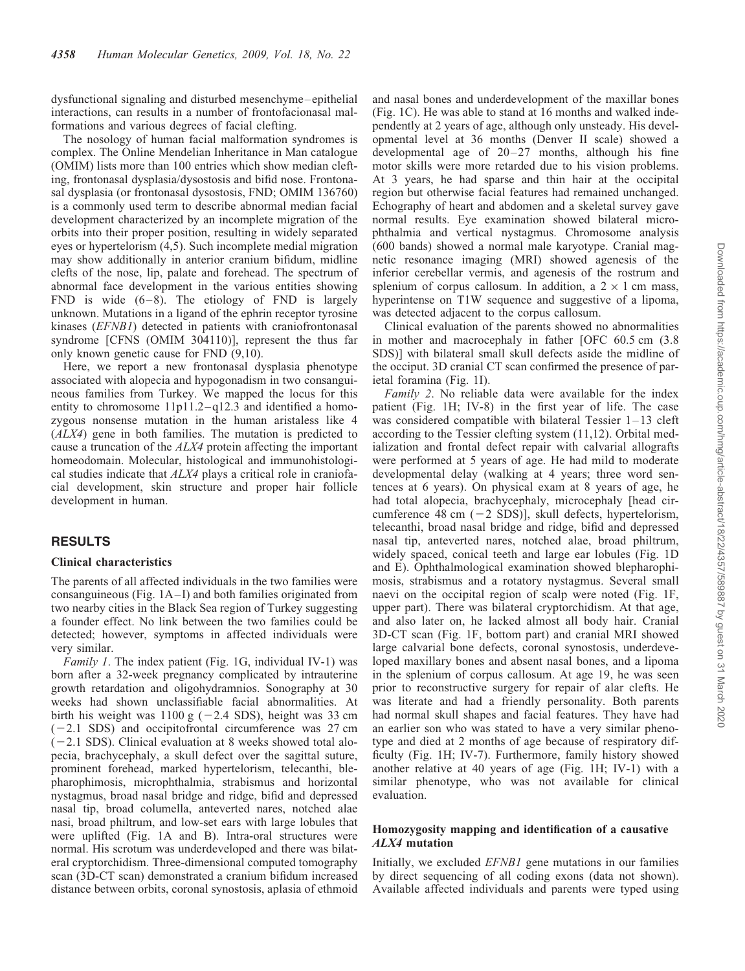dysfunctional signaling and disturbed mesenchyme –epithelial interactions, can results in a number of frontofacionasal malformations and various degrees of facial clefting.

The nosology of human facial malformation syndromes is complex. The Online Mendelian Inheritance in Man catalogue (OMIM) lists more than 100 entries which show median clefting, frontonasal dysplasia/dysostosis and bifid nose. Frontonasal dysplasia (or frontonasal dysostosis, FND; OMIM 136760) is a commonly used term to describe abnormal median facial development characterized by an incomplete migration of the orbits into their proper position, resulting in widely separated eyes or hypertelorism (4,5). Such incomplete medial migration may show additionally in anterior cranium bifidum, midline clefts of the nose, lip, palate and forehead. The spectrum of abnormal face development in the various entities showing FND is wide  $(6-8)$ . The etiology of FND is largely unknown. Mutations in a ligand of the ephrin receptor tyrosine kinases (EFNB1) detected in patients with craniofrontonasal syndrome [CFNS (OMIM 304110)], represent the thus far only known genetic cause for FND (9,10).

Here, we report a new frontonasal dysplasia phenotype associated with alopecia and hypogonadism in two consanguineous families from Turkey. We mapped the locus for this entity to chromosome  $11p11.2 - q12.3$  and identified a homozygous nonsense mutation in the human aristaless like 4 (ALX4) gene in both families. The mutation is predicted to cause a truncation of the ALX4 protein affecting the important homeodomain. Molecular, histological and immunohistological studies indicate that ALX4 plays a critical role in craniofacial development, skin structure and proper hair follicle development in human.

## **RESULTS**

#### Clinical characteristics

The parents of all affected individuals in the two families were consanguineous (Fig.  $1A-I$ ) and both families originated from two nearby cities in the Black Sea region of Turkey suggesting a founder effect. No link between the two families could be detected; however, symptoms in affected individuals were very similar.

Family 1. The index patient (Fig. 1G, individual IV-1) was born after a 32-week pregnancy complicated by intrauterine growth retardation and oligohydramnios. Sonography at 30 weeks had shown unclassifiable facial abnormalities. At birth his weight was  $1100 \text{ g}$  (-2.4 SDS), height was 33 cm  $(-2.1 SDS)$  and occipitofrontal circumference was 27 cm  $(-2.1 SDS)$ . Clinical evaluation at 8 weeks showed total alopecia, brachycephaly, a skull defect over the sagittal suture, prominent forehead, marked hypertelorism, telecanthi, blepharophimosis, microphthalmia, strabismus and horizontal nystagmus, broad nasal bridge and ridge, bifid and depressed nasal tip, broad columella, anteverted nares, notched alae nasi, broad philtrum, and low-set ears with large lobules that were uplifted (Fig. 1A and B). Intra-oral structures were normal. His scrotum was underdeveloped and there was bilateral cryptorchidism. Three-dimensional computed tomography scan (3D-CT scan) demonstrated a cranium bifidum increased distance between orbits, coronal synostosis, aplasia of ethmoid

and nasal bones and underdevelopment of the maxillar bones (Fig. 1C). He was able to stand at 16 months and walked independently at 2 years of age, although only unsteady. His developmental level at 36 months (Denver II scale) showed a developmental age of  $20-27$  months, although his fine motor skills were more retarded due to his vision problems. At 3 years, he had sparse and thin hair at the occipital region but otherwise facial features had remained unchanged. Echography of heart and abdomen and a skeletal survey gave normal results. Eye examination showed bilateral microphthalmia and vertical nystagmus. Chromosome analysis (600 bands) showed a normal male karyotype. Cranial magnetic resonance imaging (MRI) showed agenesis of the inferior cerebellar vermis, and agenesis of the rostrum and splenium of corpus callosum. In addition, a  $2 \times 1$  cm mass, hyperintense on T1W sequence and suggestive of a lipoma, was detected adjacent to the corpus callosum.

Clinical evaluation of the parents showed no abnormalities in mother and macrocephaly in father [OFC 60.5 cm (3.8 SDS)] with bilateral small skull defects aside the midline of the occiput. 3D cranial CT scan confirmed the presence of parietal foramina (Fig. 1I).

Family 2. No reliable data were available for the index patient (Fig. 1H; IV-8) in the first year of life. The case was considered compatible with bilateral Tessier  $1-13$  cleft according to the Tessier clefting system (11,12). Orbital medialization and frontal defect repair with calvarial allografts were performed at 5 years of age. He had mild to moderate developmental delay (walking at 4 years; three word sentences at 6 years). On physical exam at 8 years of age, he had total alopecia, brachycephaly, microcephaly [head circumference 48 cm  $(-2 \text{ SDS})$ ], skull defects, hypertelorism, telecanthi, broad nasal bridge and ridge, bifid and depressed nasal tip, anteverted nares, notched alae, broad philtrum, widely spaced, conical teeth and large ear lobules (Fig. 1D and E). Ophthalmological examination showed blepharophimosis, strabismus and a rotatory nystagmus. Several small naevi on the occipital region of scalp were noted (Fig. 1F, upper part). There was bilateral cryptorchidism. At that age, and also later on, he lacked almost all body hair. Cranial 3D-CT scan (Fig. 1F, bottom part) and cranial MRI showed large calvarial bone defects, coronal synostosis, underdeveloped maxillary bones and absent nasal bones, and a lipoma in the splenium of corpus callosum. At age 19, he was seen prior to reconstructive surgery for repair of alar clefts. He was literate and had a friendly personality. Both parents had normal skull shapes and facial features. They have had an earlier son who was stated to have a very similar phenotype and died at 2 months of age because of respiratory difficulty (Fig. 1H; IV-7). Furthermore, family history showed another relative at 40 years of age (Fig. 1H; IV-1) with a similar phenotype, who was not available for clinical evaluation.

## Homozygosity mapping and identification of a causative ALX4 mutation

Initially, we excluded EFNB1 gene mutations in our families by direct sequencing of all coding exons (data not shown). Available affected individuals and parents were typed using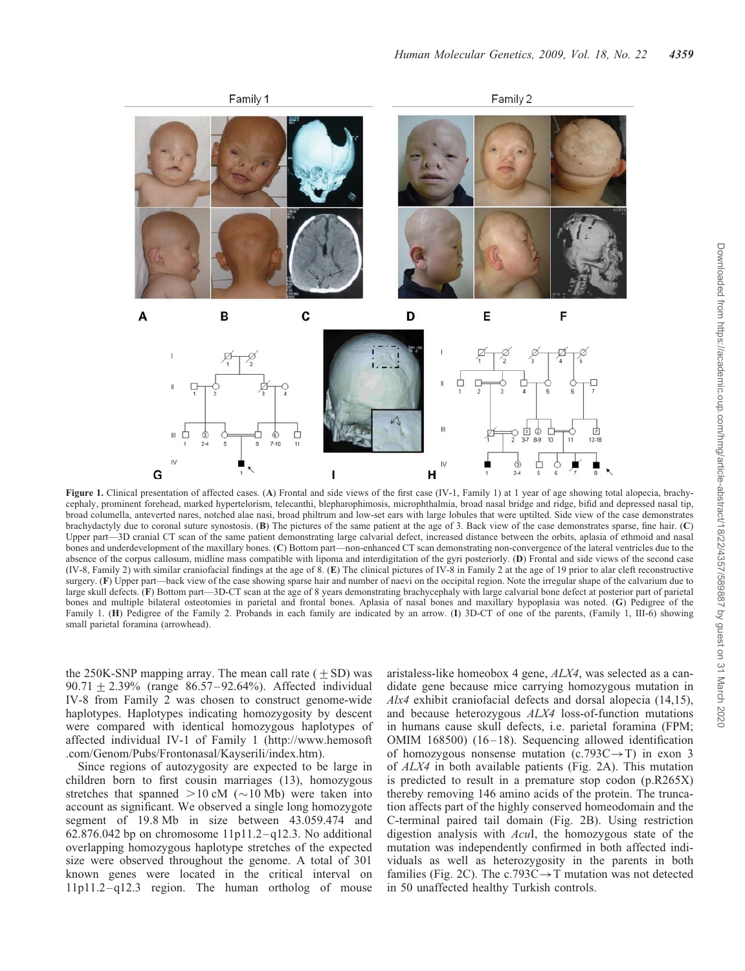

Figure 1. Clinical presentation of affected cases. (A) Frontal and side views of the first case (IV-1, Family 1) at 1 year of age showing total alopecia, brachycephaly, prominent forehead, marked hypertelorism, telecanthi, blepharophimosis, microphthalmia, broad nasal bridge and ridge, bifid and depressed nasal tip, broad columella, anteverted nares, notched alae nasi, broad philtrum and low-set ears with large lobules that were uptilted. Side view of the case demonstrates brachydactyly due to coronal suture synostosis. (B) The pictures of the same patient at the age of 3. Back view of the case demonstrates sparse, fine hair. (C) Upper part—3D cranial CT scan of the same patient demonstrating large calvarial defect, increased distance between the orbits, aplasia of ethmoid and nasal bones and underdevelopment of the maxillary bones. (C) Bottom part—non-enhanced CT scan demonstrating non-convergence of the lateral ventricles due to the absence of the corpus callosum, midline mass compatible with lipoma and interdigitation of the gyri posteriorly. (D) Frontal and side views of the second case (IV-8, Family 2) with similar craniofacial findings at the age of 8. (E) The clinical pictures of IV-8 in Family 2 at the age of 19 prior to alar cleft reconstructive surgery. (F) Upper part—back view of the case showing sparse hair and number of naevi on the occipital region. Note the irregular shape of the calvarium due to large skull defects. (F) Bottom part—3D-CT scan at the age of 8 years demonstrating brachycephaly with large calvarial bone defect at posterior part of parietal bones and multiple bilateral osteotomies in parietal and frontal bones. Aplasia of nasal bones and maxillary hypoplasia was noted. (G) Pedigree of the Family 1. (H) Pedigree of the Family 2. Probands in each family are indicated by an arrow. (I) 3D-CT of one of the parents, (Family 1, III-6) showing small parietal foramina (arrowhead).

the 250K-SNP mapping array. The mean call rate  $(+ SD)$  was  $90.71 + 2.39\%$  (range  $86.57 - 92.64\%$ ). Affected individual IV-8 from Family 2 was chosen to construct genome-wide haplotypes. Haplotypes indicating homozygosity by descent were compared with identical homozygous haplotypes of affected individual IV-1 of Family 1 (http://www.hemosoft .com/Genom/Pubs/Frontonasal/Kayserili/index.htm).

Since regions of autozygosity are expected to be large in children born to first cousin marriages (13), homozygous stretches that spanned  $>10$  cM ( $\sim$ 10 Mb) were taken into account as significant. We observed a single long homozygote segment of 19.8 Mb in size between 43.059.474 and 62.876.042 bp on chromosome  $11p11.2 - q12.3$ . No additional overlapping homozygous haplotype stretches of the expected size were observed throughout the genome. A total of 301 known genes were located in the critical interval on 11p11.2 – q12.3 region. The human ortholog of mouse aristaless-like homeobox 4 gene, ALX4, was selected as a candidate gene because mice carrying homozygous mutation in Alx4 exhibit craniofacial defects and dorsal alopecia (14,15), and because heterozygous ALX4 loss-of-function mutations in humans cause skull defects, i.e. parietal foramina (FPM; OMIM 168500)  $(16-18)$ . Sequencing allowed identification of homozygous nonsense mutation  $(c.793C \rightarrow T)$  in exon 3 of ALX4 in both available patients (Fig. 2A). This mutation is predicted to result in a premature stop codon (p.R265X) thereby removing 146 amino acids of the protein. The truncation affects part of the highly conserved homeodomain and the C-terminal paired tail domain (Fig. 2B). Using restriction digestion analysis with AcuI, the homozygous state of the mutation was independently confirmed in both affected individuals as well as heterozygosity in the parents in both families (Fig. 2C). The c.793C $\rightarrow$ T mutation was not detected in 50 unaffected healthy Turkish controls.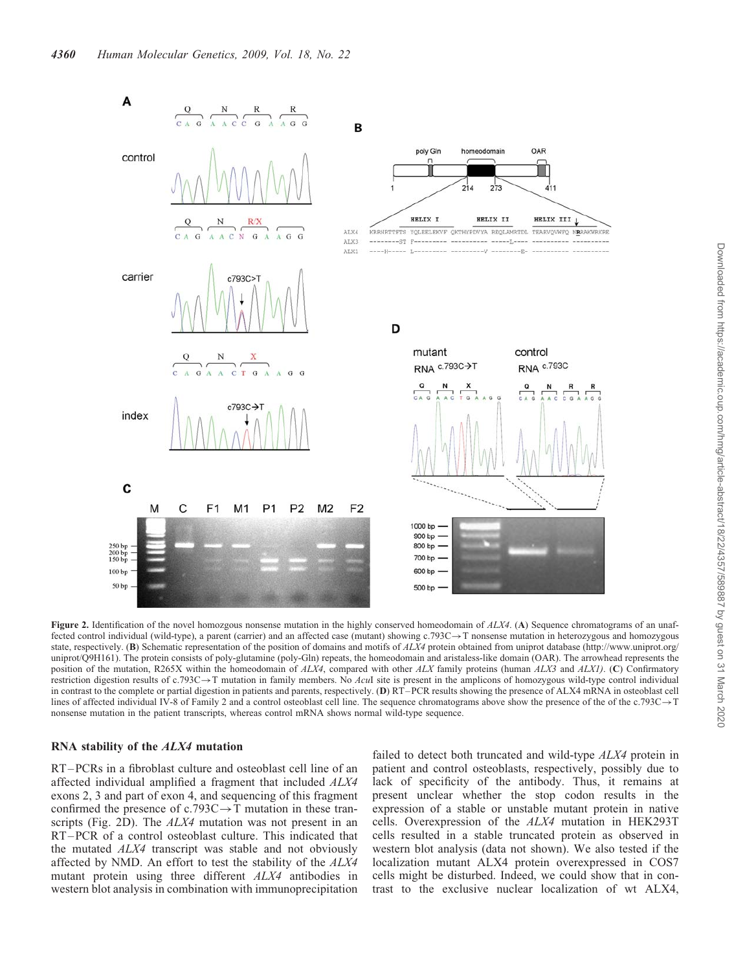

Figure 2. Identification of the novel homozgous nonsense mutation in the highly conserved homeodomain of  $ALX4$ . (A) Sequence chromatograms of an unaffected control individual (wild-type), a parent (carrier) and an affected case (mutant) showing  $c.793C \rightarrow T$  nonsense mutation in heterozygous and homozygous state, respectively. (B) Schematic representation of the position of domains and motifs of ALX4 protein obtained from uniprot database (http://www.uniprot.org/ uniprot/Q9H161). The protein consists of poly-glutamine (poly-Gln) repeats, the homeodomain and aristaless-like domain (OAR). The arrowhead represents the position of the mutation, R265X within the homeodomain of ALX4, compared with other ALX family proteins (human ALX3 and ALX1). (C) Confirmatory restriction digestion results of c.793C $\rightarrow$ T mutation in family members. No AcuI site is present in the amplicons of homozygous wild-type control individual in contrast to the complete or partial digestion in patients and parents, respectively. (D)  $RT-PCR$  results showing the presence of ALX4 mRNA in osteoblast cell lines of affected individual IV-8 of Family 2 and a control osteoblast cell line. The sequence chromatograms above show the presence of the of the c.793C $\rightarrow$ T nonsense mutation in the patient transcripts, whereas control mRNA shows normal wild-type sequence.

#### RNA stability of the ALX4 mutation

RT –PCRs in a fibroblast culture and osteoblast cell line of an affected individual amplified a fragment that included ALX4 exons 2, 3 and part of exon 4, and sequencing of this fragment confirmed the presence of c.793C $\rightarrow$ T mutation in these transcripts (Fig. 2D). The *ALX4* mutation was not present in an RT –PCR of a control osteoblast culture. This indicated that the mutated ALX4 transcript was stable and not obviously affected by NMD. An effort to test the stability of the ALX4 mutant protein using three different ALX4 antibodies in western blot analysis in combination with immunoprecipitation failed to detect both truncated and wild-type ALX4 protein in patient and control osteoblasts, respectively, possibly due to lack of specificity of the antibody. Thus, it remains at present unclear whether the stop codon results in the expression of a stable or unstable mutant protein in native cells. Overexpression of the ALX4 mutation in HEK293T cells resulted in a stable truncated protein as observed in western blot analysis (data not shown). We also tested if the localization mutant ALX4 protein overexpressed in COS7 cells might be disturbed. Indeed, we could show that in contrast to the exclusive nuclear localization of wt ALX4,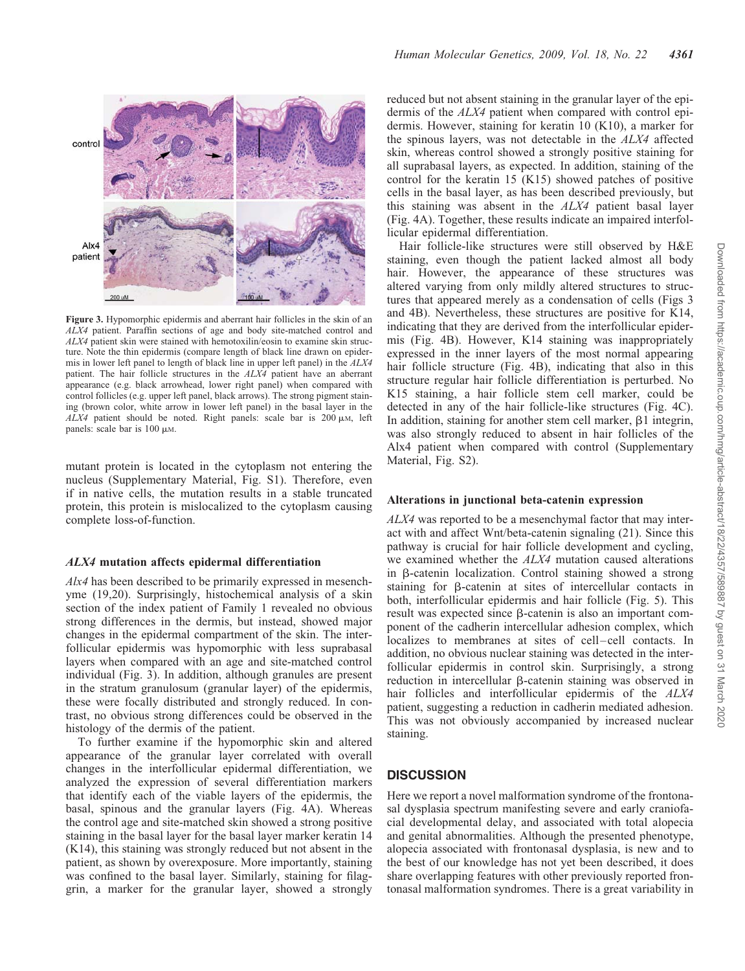

Figure 3. Hypomorphic epidermis and aberrant hair follicles in the skin of an ALX4 patient. Paraffin sections of age and body site-matched control and ALX4 patient skin were stained with hemotoxilin/eosin to examine skin structure. Note the thin epidermis (compare length of black line drawn on epidermis in lower left panel to length of black line in upper left panel) in the ALX4 patient. The hair follicle structures in the ALX4 patient have an aberrant appearance (e.g. black arrowhead, lower right panel) when compared with control follicles (e.g. upper left panel, black arrows). The strong pigment staining (brown color, white arrow in lower left panel) in the basal layer in the  $ALX4$  patient should be noted. Right panels: scale bar is 200  $\mu$ M, left panels: scale bar is  $100 \mu$ M.

mutant protein is located in the cytoplasm not entering the nucleus (Supplementary Material, Fig. S1). Therefore, even if in native cells, the mutation results in a stable truncated protein, this protein is mislocalized to the cytoplasm causing complete loss-of-function.

#### ALX4 mutation affects epidermal differentiation

 $A\lambda A$  has been described to be primarily expressed in mesenchyme (19,20). Surprisingly, histochemical analysis of a skin section of the index patient of Family 1 revealed no obvious strong differences in the dermis, but instead, showed major changes in the epidermal compartment of the skin. The interfollicular epidermis was hypomorphic with less suprabasal layers when compared with an age and site-matched control individual (Fig. 3). In addition, although granules are present in the stratum granulosum (granular layer) of the epidermis, these were focally distributed and strongly reduced. In contrast, no obvious strong differences could be observed in the histology of the dermis of the patient.

To further examine if the hypomorphic skin and altered appearance of the granular layer correlated with overall changes in the interfollicular epidermal differentiation, we analyzed the expression of several differentiation markers that identify each of the viable layers of the epidermis, the basal, spinous and the granular layers (Fig. 4A). Whereas the control age and site-matched skin showed a strong positive staining in the basal layer for the basal layer marker keratin 14 (K14), this staining was strongly reduced but not absent in the patient, as shown by overexposure. More importantly, staining was confined to the basal layer. Similarly, staining for filaggrin, a marker for the granular layer, showed a strongly reduced but not absent staining in the granular layer of the epidermis of the ALX4 patient when compared with control epidermis. However, staining for keratin 10 (K10), a marker for the spinous layers, was not detectable in the ALX4 affected skin, whereas control showed a strongly positive staining for all suprabasal layers, as expected. In addition, staining of the control for the keratin 15 (K15) showed patches of positive cells in the basal layer, as has been described previously, but this staining was absent in the ALX4 patient basal layer (Fig. 4A). Together, these results indicate an impaired interfollicular epidermal differentiation.

Hair follicle-like structures were still observed by H&E staining, even though the patient lacked almost all body hair. However, the appearance of these structures was altered varying from only mildly altered structures to structures that appeared merely as a condensation of cells (Figs 3 and 4B). Nevertheless, these structures are positive for K14, indicating that they are derived from the interfollicular epidermis (Fig. 4B). However, K14 staining was inappropriately expressed in the inner layers of the most normal appearing hair follicle structure (Fig. 4B), indicating that also in this structure regular hair follicle differentiation is perturbed. No K15 staining, a hair follicle stem cell marker, could be detected in any of the hair follicle-like structures (Fig. 4C). In addition, staining for another stem cell marker,  $\beta$ 1 integrin, was also strongly reduced to absent in hair follicles of the Alx4 patient when compared with control (Supplementary Material, Fig. S2).

#### Alterations in junctional beta-catenin expression

ALX4 was reported to be a mesenchymal factor that may interact with and affect Wnt/beta-catenin signaling (21). Since this pathway is crucial for hair follicle development and cycling, we examined whether the *ALX4* mutation caused alterations in b-catenin localization. Control staining showed a strong staining for b-catenin at sites of intercellular contacts in both, interfollicular epidermis and hair follicle (Fig. 5). This result was expected since  $\beta$ -catenin is also an important component of the cadherin intercellular adhesion complex, which localizes to membranes at sites of cell-cell contacts. In addition, no obvious nuclear staining was detected in the interfollicular epidermis in control skin. Surprisingly, a strong reduction in intercellular  $\beta$ -catenin staining was observed in hair follicles and interfollicular epidermis of the ALX4 patient, suggesting a reduction in cadherin mediated adhesion. This was not obviously accompanied by increased nuclear staining.

## **DISCUSSION**

Here we report a novel malformation syndrome of the frontonasal dysplasia spectrum manifesting severe and early craniofacial developmental delay, and associated with total alopecia and genital abnormalities. Although the presented phenotype, alopecia associated with frontonasal dysplasia, is new and to the best of our knowledge has not yet been described, it does share overlapping features with other previously reported frontonasal malformation syndromes. There is a great variability in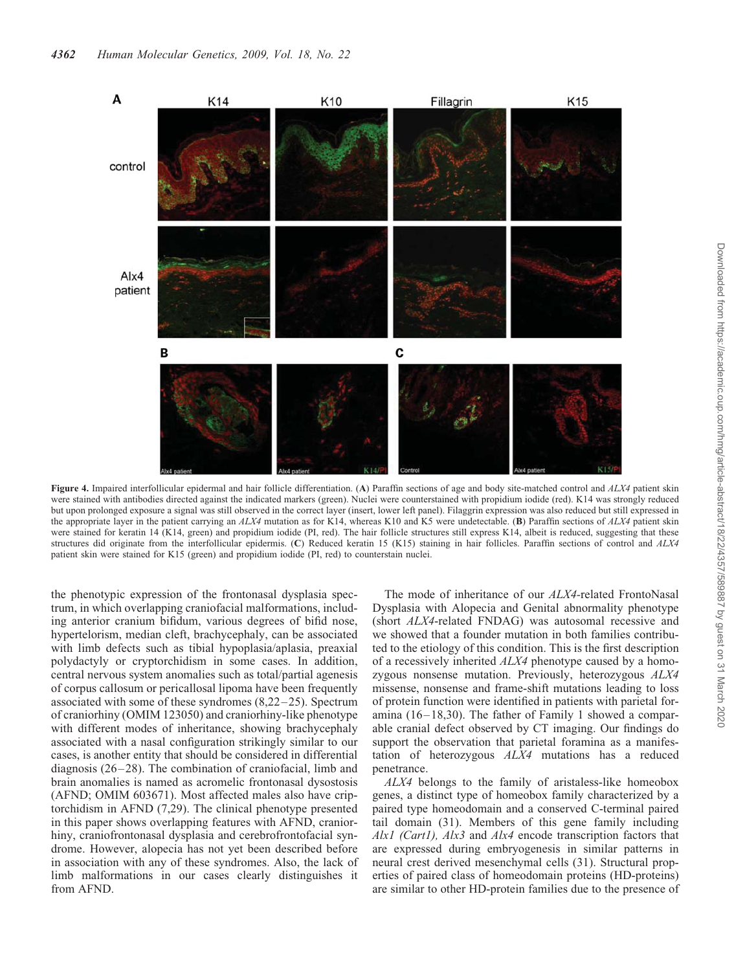

Figure 4. Impaired interfollicular epidermal and hair follicle differentiation. (A) Paraffin sections of age and body site-matched control and  $ALX4$  patient skin were stained with antibodies directed against the indicated markers (green). Nuclei were counterstained with propidium iodide (red). K14 was strongly reduced but upon prolonged exposure a signal was still observed in the correct layer (insert, lower left panel). Filaggrin expression was also reduced but still expressed in the appropriate layer in the patient carrying an  $ALX4$  mutation as for K14, whereas K10 and K5 were undetectable. (B) Paraffin sections of  $ALX4$  patient skin were stained for keratin 14 (K14, green) and propidium iodide (PI, red). The hair follicle structures still express K14, albeit is reduced, suggesting that these structures did originate from the interfollicular epidermis. (C) Reduced keratin 15 (K15) staining in hair follicles. Paraffin sections of control and ALX4 patient skin were stained for K15 (green) and propidium iodide (PI, red) to counterstain nuclei.

the phenotypic expression of the frontonasal dysplasia spectrum, in which overlapping craniofacial malformations, including anterior cranium bifidum, various degrees of bifid nose, hypertelorism, median cleft, brachycephaly, can be associated with limb defects such as tibial hypoplasia/aplasia, preaxial polydactyly or cryptorchidism in some cases. In addition, central nervous system anomalies such as total/partial agenesis of corpus callosum or pericallosal lipoma have been frequently associated with some of these syndromes  $(8,22-25)$ . Spectrum of craniorhiny (OMIM 123050) and craniorhiny-like phenotype with different modes of inheritance, showing brachycephaly associated with a nasal configuration strikingly similar to our cases, is another entity that should be considered in differential diagnosis  $(26-28)$ . The combination of craniofacial, limb and brain anomalies is named as acromelic frontonasal dysostosis (AFND; OMIM 603671). Most affected males also have criptorchidism in AFND (7,29). The clinical phenotype presented in this paper shows overlapping features with AFND, craniorhiny, craniofrontonasal dysplasia and cerebrofrontofacial syndrome. However, alopecia has not yet been described before in association with any of these syndromes. Also, the lack of limb malformations in our cases clearly distinguishes it from AFND.

The mode of inheritance of our ALX4-related FrontoNasal Dysplasia with Alopecia and Genital abnormality phenotype (short ALX4-related FNDAG) was autosomal recessive and we showed that a founder mutation in both families contributed to the etiology of this condition. This is the first description of a recessively inherited ALX4 phenotype caused by a homozygous nonsense mutation. Previously, heterozygous ALX4 missense, nonsense and frame-shift mutations leading to loss of protein function were identified in patients with parietal foramina  $(16-18,30)$ . The father of Family 1 showed a comparable cranial defect observed by CT imaging. Our findings do support the observation that parietal foramina as a manifestation of heterozygous ALX4 mutations has a reduced penetrance.

ALX4 belongs to the family of aristaless-like homeobox genes, a distinct type of homeobox family characterized by a paired type homeodomain and a conserved C-terminal paired tail domain (31). Members of this gene family including Alx1 (Cart1), Alx3 and Alx4 encode transcription factors that are expressed during embryogenesis in similar patterns in neural crest derived mesenchymal cells (31). Structural properties of paired class of homeodomain proteins (HD-proteins) are similar to other HD-protein families due to the presence of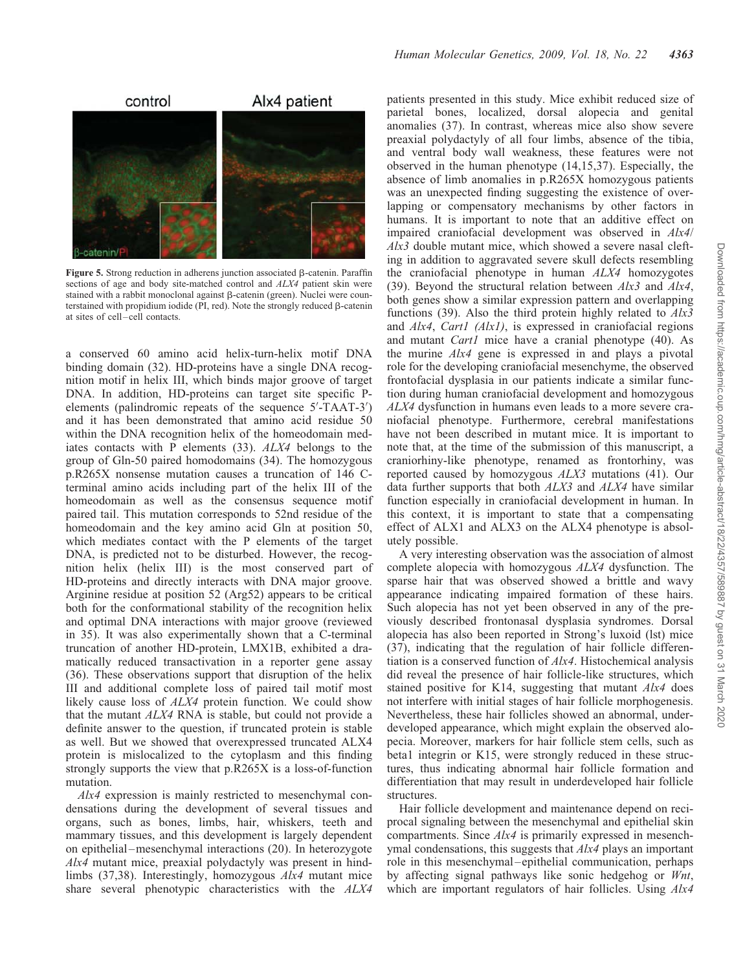

Figure 5. Strong reduction in adherens junction associated  $\beta$ -catenin. Paraffin sections of age and body site-matched control and ALX4 patient skin were stained with a rabbit monoclonal against  $\beta$ -catenin (green). Nuclei were counterstained with propidium iodide (PI, red). Note the strongly reduced  $\beta$ -catenin at sites of cell–cell contacts.

a conserved 60 amino acid helix-turn-helix motif DNA binding domain (32). HD-proteins have a single DNA recognition motif in helix III, which binds major groove of target DNA. In addition, HD-proteins can target site specific Pelements (palindromic repeats of the sequence 5'-TAAT-3') and it has been demonstrated that amino acid residue 50 within the DNA recognition helix of the homeodomain mediates contacts with P elements (33). ALX4 belongs to the group of Gln-50 paired homodomains (34). The homozygous p.R265X nonsense mutation causes a truncation of 146 Cterminal amino acids including part of the helix III of the homeodomain as well as the consensus sequence motif paired tail. This mutation corresponds to 52nd residue of the homeodomain and the key amino acid Gln at position 50, which mediates contact with the P elements of the target DNA, is predicted not to be disturbed. However, the recognition helix (helix III) is the most conserved part of HD-proteins and directly interacts with DNA major groove. Arginine residue at position 52 (Arg52) appears to be critical both for the conformational stability of the recognition helix and optimal DNA interactions with major groove (reviewed in 35). It was also experimentally shown that a C-terminal truncation of another HD-protein, LMX1B, exhibited a dramatically reduced transactivation in a reporter gene assay (36). These observations support that disruption of the helix III and additional complete loss of paired tail motif most likely cause loss of *ALX4* protein function. We could show that the mutant ALX4 RNA is stable, but could not provide a definite answer to the question, if truncated protein is stable as well. But we showed that overexpressed truncated ALX4 protein is mislocalized to the cytoplasm and this finding strongly supports the view that p.R265X is a loss-of-function mutation.

Alx4 expression is mainly restricted to mesenchymal condensations during the development of several tissues and organs, such as bones, limbs, hair, whiskers, teeth and mammary tissues, and this development is largely dependent on epithelial –mesenchymal interactions (20). In heterozygote Alx4 mutant mice, preaxial polydactyly was present in hindlimbs (37,38). Interestingly, homozygous Alx4 mutant mice share several phenotypic characteristics with the ALX4

patients presented in this study. Mice exhibit reduced size of parietal bones, localized, dorsal alopecia and genital anomalies (37). In contrast, whereas mice also show severe preaxial polydactyly of all four limbs, absence of the tibia, and ventral body wall weakness, these features were not observed in the human phenotype (14,15,37). Especially, the absence of limb anomalies in p.R265X homozygous patients was an unexpected finding suggesting the existence of overlapping or compensatory mechanisms by other factors in humans. It is important to note that an additive effect on impaired craniofacial development was observed in Alx4/ Alx3 double mutant mice, which showed a severe nasal clefting in addition to aggravated severe skull defects resembling the craniofacial phenotype in human ALX4 homozygotes (39). Beyond the structural relation between  $A/x3$  and  $A/x4$ , both genes show a similar expression pattern and overlapping functions (39). Also the third protein highly related to  $A/x3$ and Alx4, Cart1 (Alx1), is expressed in craniofacial regions and mutant Cart1 mice have a cranial phenotype (40). As the murine Alx4 gene is expressed in and plays a pivotal role for the developing craniofacial mesenchyme, the observed frontofacial dysplasia in our patients indicate a similar function during human craniofacial development and homozygous ALX4 dysfunction in humans even leads to a more severe craniofacial phenotype. Furthermore, cerebral manifestations have not been described in mutant mice. It is important to note that, at the time of the submission of this manuscript, a craniorhiny-like phenotype, renamed as frontorhiny, was reported caused by homozygous ALX3 mutations (41). Our data further supports that both ALX3 and ALX4 have similar function especially in craniofacial development in human. In this context, it is important to state that a compensating effect of ALX1 and ALX3 on the ALX4 phenotype is absolutely possible.

A very interesting observation was the association of almost complete alopecia with homozygous ALX4 dysfunction. The sparse hair that was observed showed a brittle and wavy appearance indicating impaired formation of these hairs. Such alopecia has not yet been observed in any of the previously described frontonasal dysplasia syndromes. Dorsal alopecia has also been reported in Strong's luxoid (lst) mice (37), indicating that the regulation of hair follicle differentiation is a conserved function of Alx4. Histochemical analysis did reveal the presence of hair follicle-like structures, which stained positive for K14, suggesting that mutant Alx4 does not interfere with initial stages of hair follicle morphogenesis. Nevertheless, these hair follicles showed an abnormal, underdeveloped appearance, which might explain the observed alopecia. Moreover, markers for hair follicle stem cells, such as beta1 integrin or K15, were strongly reduced in these structures, thus indicating abnormal hair follicle formation and differentiation that may result in underdeveloped hair follicle structures.

Hair follicle development and maintenance depend on reciprocal signaling between the mesenchymal and epithelial skin compartments. Since Alx4 is primarily expressed in mesenchymal condensations, this suggests that  $A/xA$  plays an important role in this mesenchymal –epithelial communication, perhaps by affecting signal pathways like sonic hedgehog or Wnt, which are important regulators of hair follicles. Using  $A\&A$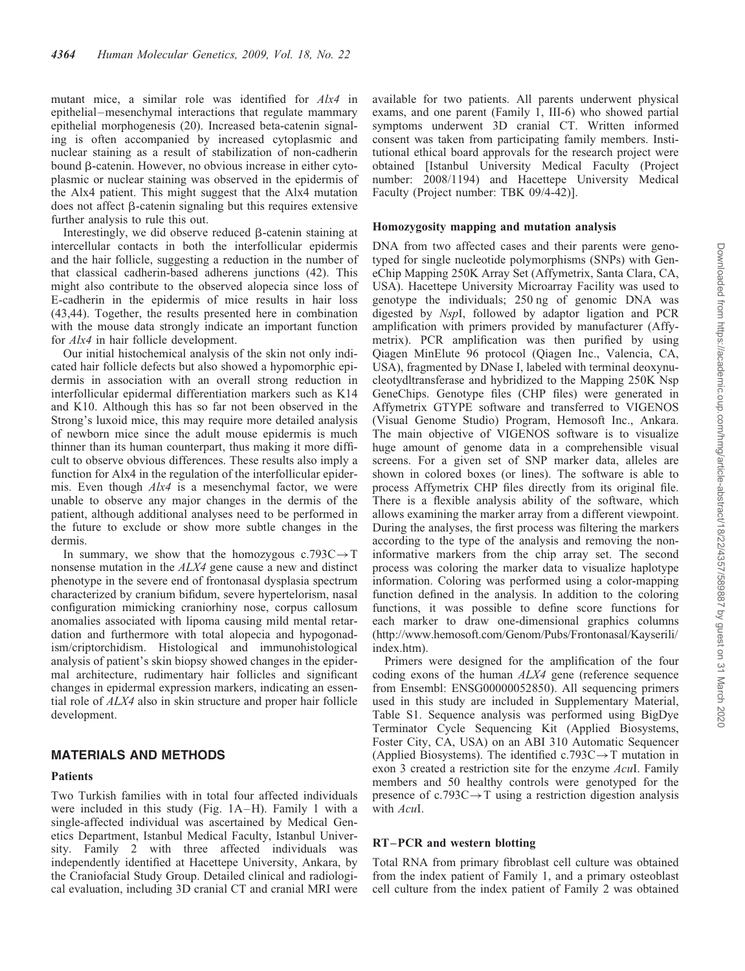mutant mice, a similar role was identified for Alx4 in epithelial –mesenchymal interactions that regulate mammary epithelial morphogenesis (20). Increased beta-catenin signaling is often accompanied by increased cytoplasmic and nuclear staining as a result of stabilization of non-cadherin bound  $\beta$ -catenin. However, no obvious increase in either cytoplasmic or nuclear staining was observed in the epidermis of the Alx4 patient. This might suggest that the Alx4 mutation does not affect  $\beta$ -catenin signaling but this requires extensive further analysis to rule this out.

Interestingly, we did observe reduced  $\beta$ -catenin staining at intercellular contacts in both the interfollicular epidermis and the hair follicle, suggesting a reduction in the number of that classical cadherin-based adherens junctions (42). This might also contribute to the observed alopecia since loss of E-cadherin in the epidermis of mice results in hair loss (43,44). Together, the results presented here in combination with the mouse data strongly indicate an important function for Alx4 in hair follicle development.

Our initial histochemical analysis of the skin not only indicated hair follicle defects but also showed a hypomorphic epidermis in association with an overall strong reduction in interfollicular epidermal differentiation markers such as K14 and K10. Although this has so far not been observed in the Strong's luxoid mice, this may require more detailed analysis of newborn mice since the adult mouse epidermis is much thinner than its human counterpart, thus making it more difficult to observe obvious differences. These results also imply a function for Alx4 in the regulation of the interfollicular epidermis. Even though Alx4 is a mesenchymal factor, we were unable to observe any major changes in the dermis of the patient, although additional analyses need to be performed in the future to exclude or show more subtle changes in the dermis.

In summary, we show that the homozygous  $c.793C \rightarrow T$ nonsense mutation in the ALX4 gene cause a new and distinct phenotype in the severe end of frontonasal dysplasia spectrum characterized by cranium bifidum, severe hypertelorism, nasal configuration mimicking craniorhiny nose, corpus callosum anomalies associated with lipoma causing mild mental retardation and furthermore with total alopecia and hypogonadism/criptorchidism. Histological and immunohistological analysis of patient's skin biopsy showed changes in the epidermal architecture, rudimentary hair follicles and significant changes in epidermal expression markers, indicating an essential role of ALX4 also in skin structure and proper hair follicle development.

## MATERIALS AND METHODS

#### Patients

Two Turkish families with in total four affected individuals were included in this study (Fig.  $1A-H$ ). Family 1 with a single-affected individual was ascertained by Medical Genetics Department, Istanbul Medical Faculty, Istanbul University. Family 2 with three affected individuals was independently identified at Hacettepe University, Ankara, by the Craniofacial Study Group. Detailed clinical and radiological evaluation, including 3D cranial CT and cranial MRI were

available for two patients. All parents underwent physical exams, and one parent (Family 1, III-6) who showed partial symptoms underwent 3D cranial CT. Written informed consent was taken from participating family members. Institutional ethical board approvals for the research project were obtained [Istanbul University Medical Faculty (Project number: 2008/1194) and Hacettepe University Medical Faculty (Project number: TBK 09/4-42)].

#### Homozygosity mapping and mutation analysis

DNA from two affected cases and their parents were genotyped for single nucleotide polymorphisms (SNPs) with GeneChip Mapping 250K Array Set (Affymetrix, Santa Clara, CA, USA). Hacettepe University Microarray Facility was used to genotype the individuals; 250 ng of genomic DNA was digested by NspI, followed by adaptor ligation and PCR amplification with primers provided by manufacturer (Affymetrix). PCR amplification was then purified by using Qiagen MinElute 96 protocol (Qiagen Inc., Valencia, CA, USA), fragmented by DNase I, labeled with terminal deoxynucleotydltransferase and hybridized to the Mapping 250K Nsp GeneChips. Genotype files (CHP files) were generated in Affymetrix GTYPE software and transferred to VIGENOS (Visual Genome Studio) Program, Hemosoft Inc., Ankara. The main objective of VIGENOS software is to visualize huge amount of genome data in a comprehensible visual screens. For a given set of SNP marker data, alleles are shown in colored boxes (or lines). The software is able to process Affymetrix CHP files directly from its original file. There is a flexible analysis ability of the software, which allows examining the marker array from a different viewpoint. During the analyses, the first process was filtering the markers according to the type of the analysis and removing the noninformative markers from the chip array set. The second process was coloring the marker data to visualize haplotype information. Coloring was performed using a color-mapping function defined in the analysis. In addition to the coloring functions, it was possible to define score functions for each marker to draw one-dimensional graphics columns (http://www.hemosoft.com/Genom/Pubs/Frontonasal/Kayserili/ index.htm).

Primers were designed for the amplification of the four coding exons of the human ALX4 gene (reference sequence from Ensembl: ENSG00000052850). All sequencing primers used in this study are included in Supplementary Material, Table S1. Sequence analysis was performed using BigDye Terminator Cycle Sequencing Kit (Applied Biosystems, Foster City, CA, USA) on an ABI 310 Automatic Sequencer (Applied Biosystems). The identified  $c.793C \rightarrow T$  mutation in exon 3 created a restriction site for the enzyme AcuI. Family members and 50 healthy controls were genotyped for the presence of c.793C $\rightarrow$ T using a restriction digestion analysis with AcuI.

#### RT –PCR and western blotting

Total RNA from primary fibroblast cell culture was obtained from the index patient of Family 1, and a primary osteoblast cell culture from the index patient of Family 2 was obtained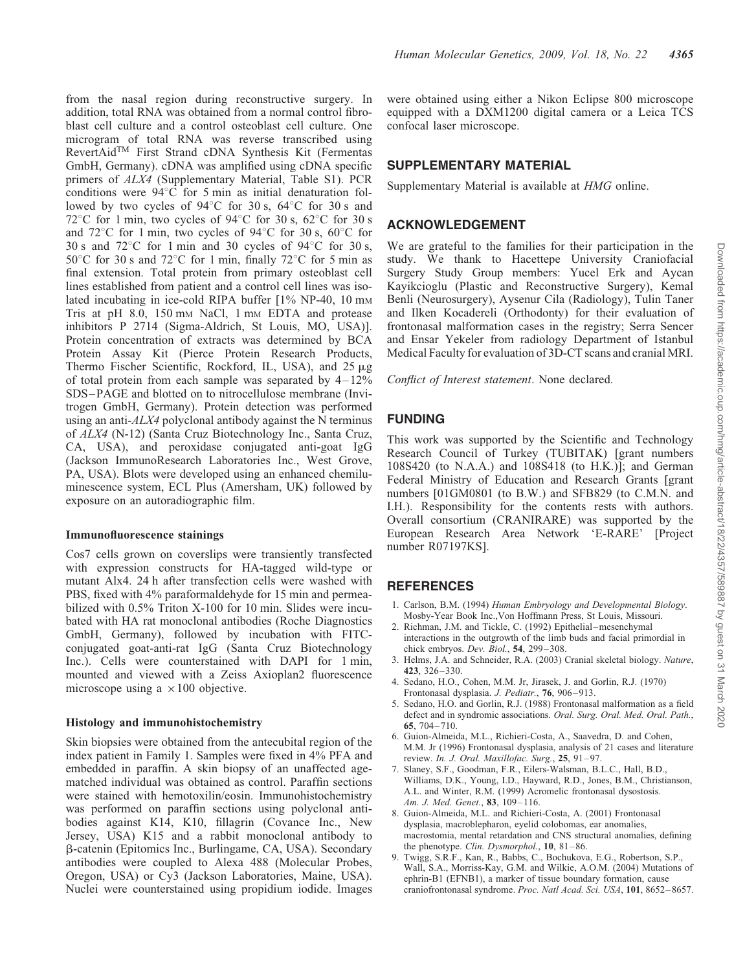from the nasal region during reconstructive surgery. In addition, total RNA was obtained from a normal control fibroblast cell culture and a control osteoblast cell culture. One microgram of total RNA was reverse transcribed using RevertAidTM First Strand cDNA Synthesis Kit (Fermentas GmbH, Germany). cDNA was amplified using cDNA specific primers of  $ALX4$  (Supplementary Material, Table S1). PCR conditions were  $94^{\circ}$ C for 5 min as initial denaturation followed by two cycles of  $94^{\circ}$ C for 30 s,  $64^{\circ}$ C for 30 s and 72<sup>°</sup>C for 1 min, two cycles of 94<sup>°</sup>C for 30 s, 62<sup>°</sup>C for 30 s and  $72^{\circ}$ C for 1 min, two cycles of 94 $^{\circ}$ C for 30 s, 60 $^{\circ}$ C for 30 s and  $72^{\circ}$ C for 1 min and 30 cycles of  $94^{\circ}$ C for 30 s, 50 $\degree$ C for 30 s and 72 $\degree$ C for 1 min, finally 72 $\degree$ C for 5 min as final extension. Total protein from primary osteoblast cell lines established from patient and a control cell lines was isolated incubating in ice-cold RIPA buffer [1% NP-40, 10 mm Tris at pH 8.0, 150 mm NaCl, 1 mm EDTA and protease inhibitors P 2714 (Sigma-Aldrich, St Louis, MO, USA)]. Protein concentration of extracts was determined by BCA Protein Assay Kit (Pierce Protein Research Products, Thermo Fischer Scientific, Rockford, IL, USA), and 25  $\mu$ g of total protein from each sample was separated by  $4-12\%$ SDS –PAGE and blotted on to nitrocellulose membrane (Invitrogen GmbH, Germany). Protein detection was performed using an anti- $ALX4$  polyclonal antibody against the N terminus of ALX4 (N-12) (Santa Cruz Biotechnology Inc., Santa Cruz, CA, USA), and peroxidase conjugated anti-goat IgG (Jackson ImmunoResearch Laboratories Inc., West Grove, PA, USA). Blots were developed using an enhanced chemiluminescence system, ECL Plus (Amersham, UK) followed by exposure on an autoradiographic film.

#### Immunofluorescence stainings

Cos7 cells grown on coverslips were transiently transfected with expression constructs for HA-tagged wild-type or mutant Alx4. 24 h after transfection cells were washed with PBS, fixed with 4% paraformaldehyde for 15 min and permeabilized with 0.5% Triton X-100 for 10 min. Slides were incubated with HA rat monoclonal antibodies (Roche Diagnostics GmbH, Germany), followed by incubation with FITCconjugated goat-anti-rat IgG (Santa Cruz Biotechnology Inc.). Cells were counterstained with DAPI for 1 min, mounted and viewed with a Zeiss Axioplan2 fluorescence microscope using a  $\times 100$  objective.

#### Histology and immunohistochemistry

Skin biopsies were obtained from the antecubital region of the index patient in Family 1. Samples were fixed in 4% PFA and embedded in paraffin. A skin biopsy of an unaffected agematched individual was obtained as control. Paraffin sections were stained with hemotoxilin/eosin. Immunohistochemistry was performed on paraffin sections using polyclonal antibodies against K14, K10, fillagrin (Covance Inc., New Jersey, USA) K15 and a rabbit monoclonal antibody to b-catenin (Epitomics Inc., Burlingame, CA, USA). Secondary antibodies were coupled to Alexa 488 (Molecular Probes, Oregon, USA) or Cy3 (Jackson Laboratories, Maine, USA). Nuclei were counterstained using propidium iodide. Images were obtained using either a Nikon Eclipse 800 microscope equipped with a DXM1200 digital camera or a Leica TCS confocal laser microscope.

## SUPPLEMENTARY MATERIAL

Supplementary Material is available at HMG online.

#### ACKNOWLEDGEMENT

We are grateful to the families for their participation in the study. We thank to Hacettepe University Craniofacial Surgery Study Group members: Yucel Erk and Aycan Kayikcioglu (Plastic and Reconstructive Surgery), Kemal Benli (Neurosurgery), Aysenur Cila (Radiology), Tulin Taner and Ilken Kocadereli (Orthodonty) for their evaluation of frontonasal malformation cases in the registry; Serra Sencer and Ensar Yekeler from radiology Department of Istanbul Medical Faculty for evaluation of 3D-CT scans and cranial MRI.

Conflict of Interest statement. None declared.

## FUNDING

This work was supported by the Scientific and Technology Research Council of Turkey (TUBITAK) [grant numbers 108S420 (to N.A.A.) and 108S418 (to H.K.)]; and German Federal Ministry of Education and Research Grants [grant numbers [01GM0801 (to B.W.) and SFB829 (to C.M.N. and I.H.). Responsibility for the contents rests with authors. Overall consortium (CRANIRARE) was supported by the European Research Area Network 'E-RARE' [Project number R07197KS].

## **REFERENCES**

- 1. Carlson, B.M. (1994) Human Embryology and Developmental Biology. Mosby-Year Book Inc.,Von Hoffmann Press, St Louis, Missouri.
- Richman, J.M. and Tickle, C. (1992) Epithelial–mesenchymal interactions in the outgrowth of the limb buds and facial primordial in chick embryos. Dev. Biol., 54, 299-308.
- 3. Helms, J.A. and Schneider, R.A. (2003) Cranial skeletal biology. Nature, 423, 326–330.
- 4. Sedano, H.O., Cohen, M.M. Jr, Jirasek, J. and Gorlin, R.J. (1970) Frontonasal dysplasia. J. Pediatr., 76, 906-913.
- 5. Sedano, H.O. and Gorlin, R.J. (1988) Frontonasal malformation as a field defect and in syndromic associations. Oral. Surg. Oral. Med. Oral. Path., 65, 704– 710.
- 6. Guion-Almeida, M.L., Richieri-Costa, A., Saavedra, D. and Cohen, M.M. Jr (1996) Frontonasal dysplasia, analysis of 21 cases and literature review. In. J. Oral. Maxillofac. Surg., 25, 91-97.
- 7. Slaney, S.F., Goodman, F.R., Eilers-Walsman, B.L.C., Hall, B.D., Williams, D.K., Young, I.D., Hayward, R.D., Jones, B.M., Christianson, A.L. and Winter, R.M. (1999) Acromelic frontonasal dysostosis. Am. J. Med. Genet., 83, 109-116.
- 8. Guion-Almeida, M.L. and Richieri-Costa, A. (2001) Frontonasal dysplasia, macroblepharon, eyelid colobomas, ear anomalies, macrostomia, mental retardation and CNS structural anomalies, defining the phenotype. Clin. Dysmorphol., 10, 81-86.
- 9. Twigg, S.R.F., Kan, R., Babbs, C., Bochukova, E.G., Robertson, S.P., Wall, S.A., Morriss-Kay, G.M. and Wilkie, A.O.M. (2004) Mutations of ephrin-B1 (EFNB1), a marker of tissue boundary formation, cause craniofrontonasal syndrome. Proc. Natl Acad. Sci. USA, 101, 8652-8657.